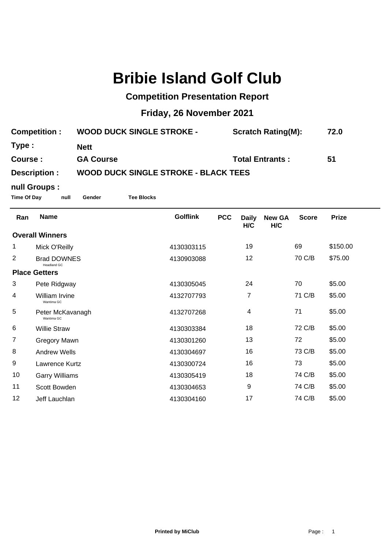## **Bribie Island Golf Club**

## **Competition Presentation Report**

## **Friday, 26 November 2021**

| <b>Competition:</b> | <b>WOOD DUCK SINGLE STROKE -</b>            | <b>Scratch Rating(M):</b> | 72.0 |
|---------------------|---------------------------------------------|---------------------------|------|
| Type :              | <b>Nett</b>                                 |                           |      |
| Course:             | <b>GA Course</b>                            | <b>Total Entrants:</b>    | 51   |
| Description :       | <b>WOOD DUCK SINGLE STROKE - BLACK TEES</b> |                           |      |

## **null Groups :**

**Time Of Day null Gender Tee Blocks**

| <b>Name</b>                    | <b>Golflink</b>    | <b>PCC</b> | <b>Daily</b><br>H/C | <b>New GA</b><br>H/C | <b>Score</b> | <b>Prize</b> |
|--------------------------------|--------------------|------------|---------------------|----------------------|--------------|--------------|
| <b>Overall Winners</b>         |                    |            |                     |                      |              |              |
| Mick O'Reilly                  | 4130303115         |            | 19                  |                      | 69           | \$150.00     |
| <b>Brad DOWNES</b>             | 4130903088         |            | 12                  |                      | 70 C/B       | \$75.00      |
| <b>Place Getters</b>           |                    |            |                     |                      |              |              |
| Pete Ridgway                   | 4130305045         |            | 24                  |                      | 70           | \$5.00       |
| William Irvine<br>Wantima GC   | 4132707793         |            | $\overline{7}$      |                      | 71 C/B       | \$5.00       |
| Peter McKavanagh<br>Wantima GC | 4132707268         |            | 4                   |                      | 71           | \$5.00       |
| <b>Willie Straw</b>            | 4130303384         |            | 18                  |                      | 72 C/B       | \$5.00       |
| Gregory Mawn                   | 4130301260         |            | 13                  |                      | 72           | \$5.00       |
| <b>Andrew Wells</b>            | 4130304697         |            | 16                  |                      | 73 C/B       | \$5.00       |
| Lawrence Kurtz                 | 4130300724         |            | 16                  |                      | 73           | \$5.00       |
| <b>Garry Williams</b>          | 4130305419         |            | 18                  |                      | 74 C/B       | \$5.00       |
| Scott Bowden                   | 4130304653         |            | 9                   |                      | 74 C/B       | \$5.00       |
| Jeff Lauchlan                  | 4130304160         |            | 17                  |                      | 74 C/B       | \$5.00       |
|                                | <b>Headland GC</b> |            |                     |                      |              |              |